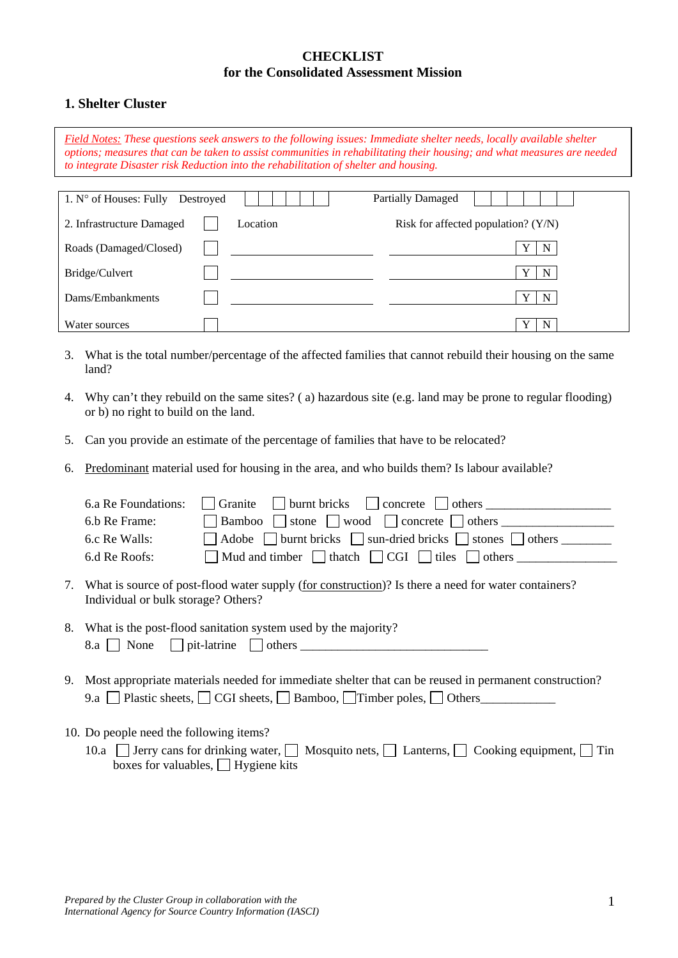### **CHECKLIST for the Consolidated Assessment Mission**

## **1. Shelter Cluster**

*Field Notes: These questions seek answers to the following issues: Immediate shelter needs, locally available shelter options; measures that can be taken to assist communities in rehabilitating their housing; and what measures are needed to integrate Disaster risk Reduction into the rehabilitation of shelter and housing.* 

| 1. $N^{\circ}$ of Houses: Fully | Destroyed |          | <b>Partially Damaged</b>              |        |
|---------------------------------|-----------|----------|---------------------------------------|--------|
| 2. Infrastructure Damaged       |           | Location | Risk for affected population? $(Y/N)$ |        |
| Roads (Damaged/Closed)          |           |          |                                       | N      |
| Bridge/Culvert                  |           |          |                                       | N      |
| Dams/Embankments                |           |          |                                       | N      |
| Water sources                   |           |          |                                       | N<br>v |

- 3. What is the total number/percentage of the affected families that cannot rebuild their housing on the same land?
- 4. Why can't they rebuild on the same sites? ( a) hazardous site (e.g. land may be prone to regular flooding) or b) no right to build on the land.
- 5. Can you provide an estimate of the percentage of families that have to be relocated?
- 6. Predominant material used for housing in the area, and who builds them? Is labour available?

| 6.a Re Foundations:                     | burnt bricks concrete deterministic others<br>Granite                                                                                                                    |
|-----------------------------------------|--------------------------------------------------------------------------------------------------------------------------------------------------------------------------|
| 6.b Re Frame:                           | Bamboo $\Box$ stone $\Box$ wood $\Box$ concrete $\Box$ others $\Box$                                                                                                     |
| 6.c Re Walls:                           | Adobe urnt bricks sun-dried bricks stones others                                                                                                                         |
| 6.d Re Roofs:                           | Mud and timber $\Box$ thatch $\Box$ CGI $\Box$ tiles $\Box$ others                                                                                                       |
| Individual or bulk storage? Others?     | 7. What is source of post-flood water supply (for construction)? Is there a need for water containers?                                                                   |
|                                         | 8. What is the post-flood sanitation system used by the majority?<br>$8.a \perp \text{None}$ pit-latrine others $\perp$                                                  |
|                                         | 9. Most appropriate materials needed for immediate shelter that can be reused in permanent construction?<br>9.a Plastic sheets, CGI sheets, Bamboo, Timber poles, Others |
| 10. Do people need the following items? |                                                                                                                                                                          |

10.a Jerry cans for drinking water,  $\Box$  Mosquito nets,  $\Box$  Lanterns,  $\Box$  Cooking equipment,  $\Box$  Tin boxes for valuables,  $\Box$  Hygiene kits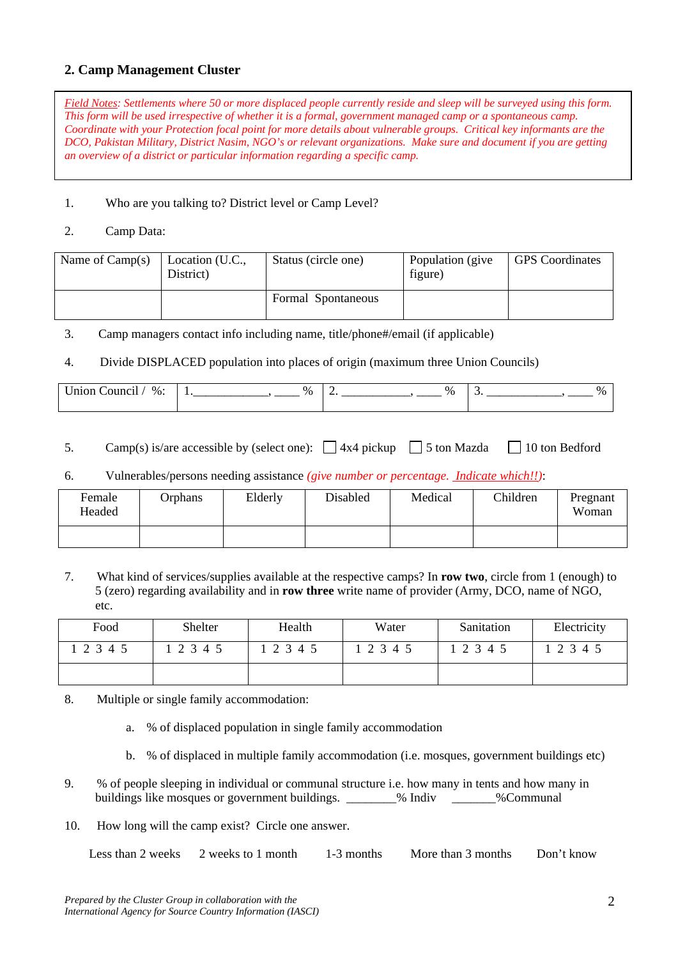## **2. Camp Management Cluster**

*Field Notes: Settlements where 50 or more displaced people currently reside and sleep will be surveyed using this form. This form will be used irrespective of whether it is a formal, government managed camp or a spontaneous camp. Coordinate with your Protection focal point for more details about vulnerable groups. Critical key informants are the DCO, Pakistan Military, District Nasim, NGO's or relevant organizations. Make sure and document if you are getting an overview of a district or particular information regarding a specific camp.* 

#### 1. Who are you talking to? District level or Camp Level?

### 2. Camp Data:

| Name of $Camp(s)$ | Location (U.C.,<br>District) | Status (circle one) | Population (give<br>figure) | <b>GPS</b> Coordinates |
|-------------------|------------------------------|---------------------|-----------------------------|------------------------|
|                   |                              | Formal Spontaneous  |                             |                        |

3. Camp managers contact info including name, title/phone#/email (if applicable)

#### 4. Divide DISPLACED population into places of origin (maximum three Union Councils)

| $-11220$<br>$\%$ .<br>וור<br>,,,,,,<br>$\begin{array}{cccccccccccccc} \multicolumn{4}{c}{} & \multicolumn{4}{c}{} & \multicolumn{4}{c}{} & \multicolumn{4}{c}{} & \multicolumn{4}{c}{} & \multicolumn{4}{c}{} & \multicolumn{4}{c}{} & \multicolumn{4}{c}{} & \multicolumn{4}{c}{} & \multicolumn{4}{c}{} & \multicolumn{4}{c}{} & \multicolumn{4}{c}{} & \multicolumn{4}{c}{} & \multicolumn{4}{c}{} & \multicolumn{4}{c}{} & \multicolumn{4}{c}{} & \multicolumn{4}{c}{} & \multicolumn{4}{c}{} & \multicolumn{4}{c}{} & \$ | $\%$ | $\%$<br>— | $\overline{\phantom{a}}$ |
|-------------------------------------------------------------------------------------------------------------------------------------------------------------------------------------------------------------------------------------------------------------------------------------------------------------------------------------------------------------------------------------------------------------------------------------------------------------------------------------------------------------------------------|------|-----------|--------------------------|
|                                                                                                                                                                                                                                                                                                                                                                                                                                                                                                                               |      |           |                          |

- 5. Camp(s) is/are accessible by (select one):  $\Box$  4x4 pickup  $\Box$  5 ton Mazda  $\Box$  10 ton Bedford
- 6. Vulnerables/persons needing assistance *(give number or percentage. Indicate which!!)*:

| Female<br>Headed | Orphans | Elderly | Disabled | Medical | Children | Pregnant<br>Woman |
|------------------|---------|---------|----------|---------|----------|-------------------|
|                  |         |         |          |         |          |                   |

7. What kind of services/supplies available at the respective camps? In **row two**, circle from 1 (enough) to 5 (zero) regarding availability and in **row three** write name of provider (Army, DCO, name of NGO, etc.

| Food      | Shelter | Health | Water | Sanitation | Electricity |
|-----------|---------|--------|-------|------------|-------------|
| 1 2 3 4 5 | 2 3 4 5 | 12345  | 12345 | 12345      | 2 3 4 5     |
|           |         |        |       |            |             |

- 8. Multiple or single family accommodation:
	- a. % of displaced population in single family accommodation
	- b. % of displaced in multiple family accommodation (i.e. mosques, government buildings etc)
- 9. % of people sleeping in individual or communal structure i.e. how many in tents and how many in buildings like mosques or government buildings.  $\frac{1}{2}$  Mediv  $\frac{1}{2}$  % Communal
- 10. How long will the camp exist? Circle one answer.

| Less than 2 weeks 2 weeks to 1 month | 1-3 months | More than 3 months | Don't know |
|--------------------------------------|------------|--------------------|------------|
|--------------------------------------|------------|--------------------|------------|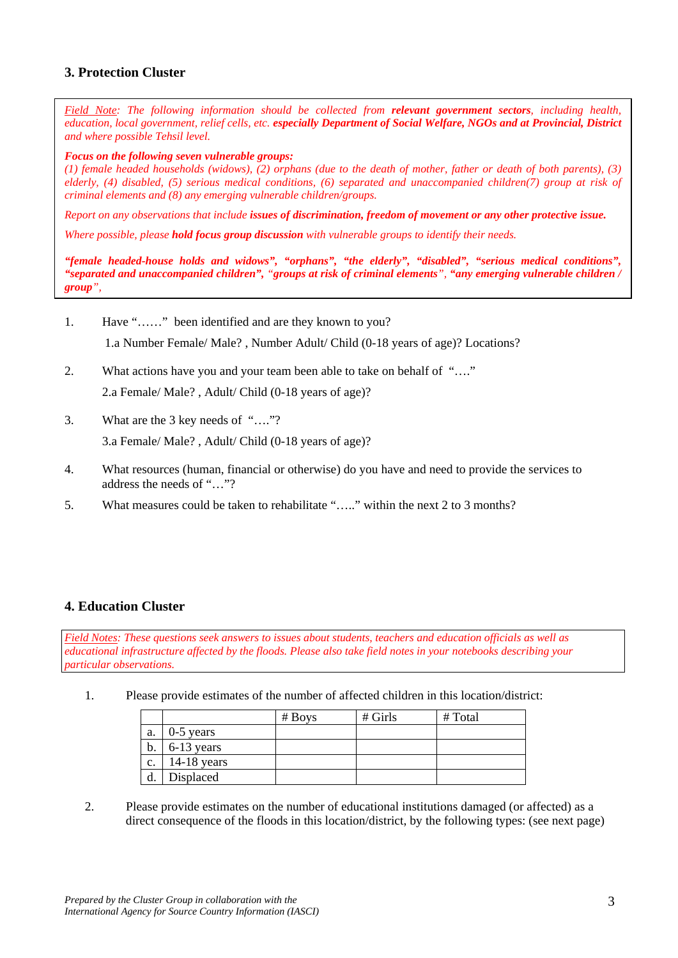# **3. Protection Cluster**

*Field Note: The following information should be collected from relevant government sectors, including health, education, local government, relief cells, etc. especially Department of Social Welfare, NGOs and at Provincial, District and where possible Tehsil level.* 

#### *Focus on the following seven vulnerable groups:*

*(1) female headed households (widows), (2) orphans (due to the death of mother, father or death of both parents), (3) elderly, (4) disabled, (5) serious medical conditions, (6) separated and unaccompanied children(7) group at risk of criminal elements and (8) any emerging vulnerable children/groups.* 

*Report on any observations that include issues of discrimination, freedom of movement or any other protective issue.* 

*Where possible, please hold focus group discussion with vulnerable groups to identify their needs.* 

*"female headed-house holds and widows", "orphans", "the elderly", "disabled", "serious medical conditions", "separated and unaccompanied children", "groups at risk of criminal elements", "any emerging vulnerable children / group",*

1. Have "……" been identified and are they known to you?

1.a Number Female/ Male? , Number Adult/ Child (0-18 years of age)? Locations?

- 2. What actions have you and your team been able to take on behalf of "…." 2.a Female/ Male? , Adult/ Child (0-18 years of age)?
- 3. What are the 3 key needs of "…."?

3.a Female/ Male? , Adult/ Child (0-18 years of age)?

- 4. What resources (human, financial or otherwise) do you have and need to provide the services to address the needs of "…"?
- 5. What measures could be taken to rehabilitate "….." within the next 2 to 3 months?

## **4. Education Cluster**

*Field Notes: These questions seek answers to issues about students, teachers and education officials as well as educational infrastructure affected by the floods. Please also take field notes in your notebooks describing your particular observations.* 

1. Please provide estimates of the number of affected children in this location/district:

|       |               | # Boys | $#$ Girls | # Total |
|-------|---------------|--------|-----------|---------|
| a.    | $0-5$ years   |        |           |         |
| $b$ . | $6-13$ years  |        |           |         |
| c.    | $14-18$ years |        |           |         |
|       | Displaced     |        |           |         |

2. Please provide estimates on the number of educational institutions damaged (or affected) as a direct consequence of the floods in this location/district, by the following types: (see next page)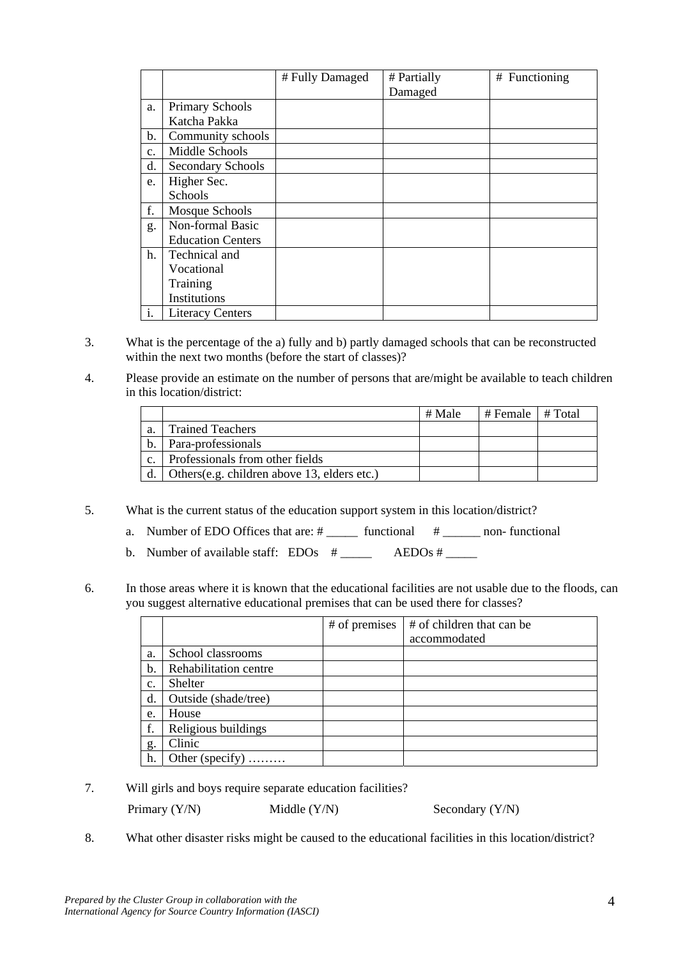|    |                          | # Fully Damaged | # Partially | # Functioning |
|----|--------------------------|-----------------|-------------|---------------|
|    |                          |                 | Damaged     |               |
| a. | Primary Schools          |                 |             |               |
|    | Katcha Pakka             |                 |             |               |
| b. | Community schools        |                 |             |               |
| c. | Middle Schools           |                 |             |               |
| d. | Secondary Schools        |                 |             |               |
| e. | Higher Sec.              |                 |             |               |
|    | <b>Schools</b>           |                 |             |               |
| f. | Mosque Schools           |                 |             |               |
| g. | Non-formal Basic         |                 |             |               |
|    | <b>Education Centers</b> |                 |             |               |
| h. | Technical and            |                 |             |               |
|    | Vocational               |                 |             |               |
|    | Training                 |                 |             |               |
|    | Institutions             |                 |             |               |
| i. | <b>Literacy Centers</b>  |                 |             |               |

- 3. What is the percentage of the a) fully and b) partly damaged schools that can be reconstructed within the next two months (before the start of classes)?
- 4. Please provide an estimate on the number of persons that are/might be available to teach children in this location/district:

|    |                                              | # Male | # Female $\pm$ Total |  |
|----|----------------------------------------------|--------|----------------------|--|
| a. | <b>Trained Teachers</b>                      |        |                      |  |
| b. | Para-professionals                           |        |                      |  |
|    | Professionals from other fields              |        |                      |  |
|    | Others (e.g. children above 13, elders etc.) |        |                      |  |

- 5. What is the current status of the education support system in this location/district?
	- a. Number of EDO Offices that are:  $\#$  \_\_\_\_\_\_\_\_ functional  $\#$  \_\_\_\_\_\_\_ non-functional
	- b. Number of available staff:  $EDOs$  # \_\_\_\_\_ AEDOs # \_\_\_\_\_
- 6. In those areas where it is known that the educational facilities are not usable due to the floods, can you suggest alternative educational premises that can be used there for classes?

|                |                       | # of premises | # of children that can be |
|----------------|-----------------------|---------------|---------------------------|
|                |                       |               | accommodated              |
| a.             | School classrooms     |               |                           |
| b.             | Rehabilitation centre |               |                           |
| c.             | Shelter               |               |                           |
| d.             | Outside (shade/tree)  |               |                           |
| e.             | House                 |               |                           |
| f.             | Religious buildings   |               |                           |
| g <sub>1</sub> | Clinic                |               |                           |
| h.             | Other (specify)       |               |                           |

7. Will girls and boys require separate education facilities? Primary (Y/N) Middle (Y/N) Secondary (Y/N)

8. What other disaster risks might be caused to the educational facilities in this location/district?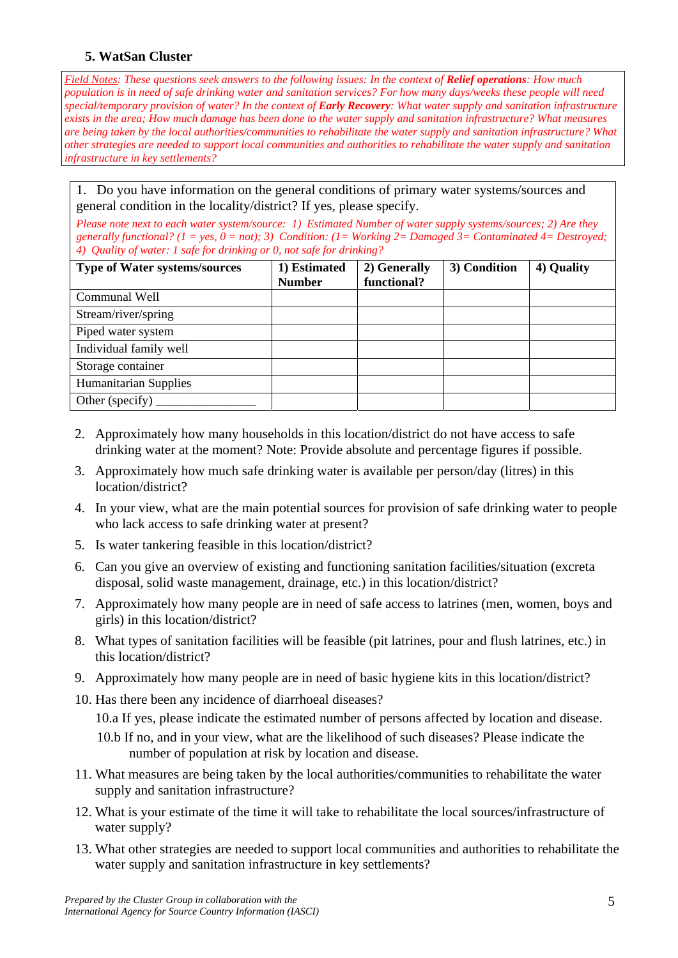## **5. WatSan Cluster**

*Field Notes: These questions seek answers to the following issues: In the context of Relief operations: How much population is in need of safe drinking water and sanitation services? For how many days/weeks these people will need special/temporary provision of water? In the context of Early Recovery: What water supply and sanitation infrastructure exists in the area; How much damage has been done to the water supply and sanitation infrastructure? What measures are being taken by the local authorities/communities to rehabilitate the water supply and sanitation infrastructure? What other strategies are needed to support local communities and authorities to rehabilitate the water supply and sanitation infrastructure in key settlements?* 

1. Do you have information on the general conditions of primary water systems/sources and general condition in the locality/district? If yes, please specify.

*Please note next to each water system/source: 1) Estimated Number of water supply systems/sources; 2) Are they generally functional? (1 = yes, 0 = not); 3) Condition: (1= Working 2= Damaged 3= Contaminated 4= Destroyed; 4) Quality of water: 1 safe for drinking or 0, not safe for drinking?* 

| <b>Type of Water systems/sources</b> | 1) Estimated  | 2) Generally | 3) Condition | 4) Quality |
|--------------------------------------|---------------|--------------|--------------|------------|
|                                      | <b>Number</b> | functional?  |              |            |
| Communal Well                        |               |              |              |            |
| Stream/river/spring                  |               |              |              |            |
| Piped water system                   |               |              |              |            |
| Individual family well               |               |              |              |            |
| Storage container                    |               |              |              |            |
| <b>Humanitarian Supplies</b>         |               |              |              |            |
| Other (specify)                      |               |              |              |            |

- 2. Approximately how many households in this location/district do not have access to safe drinking water at the moment? Note: Provide absolute and percentage figures if possible.
- 3. Approximately how much safe drinking water is available per person/day (litres) in this location/district?
- 4. In your view, what are the main potential sources for provision of safe drinking water to people who lack access to safe drinking water at present?
- 5. Is water tankering feasible in this location/district?
- 6. Can you give an overview of existing and functioning sanitation facilities/situation (excreta disposal, solid waste management, drainage, etc.) in this location/district?
- 7. Approximately how many people are in need of safe access to latrines (men, women, boys and girls) in this location/district?
- 8. What types of sanitation facilities will be feasible (pit latrines, pour and flush latrines, etc.) in this location/district?
- 9. Approximately how many people are in need of basic hygiene kits in this location/district?
- 10. Has there been any incidence of diarrhoeal diseases?
	- 10.a If yes, please indicate the estimated number of persons affected by location and disease.
	- 10.b If no, and in your view, what are the likelihood of such diseases? Please indicate the number of population at risk by location and disease.
- 11. What measures are being taken by the local authorities/communities to rehabilitate the water supply and sanitation infrastructure?
- 12. What is your estimate of the time it will take to rehabilitate the local sources/infrastructure of water supply?
- 13. What other strategies are needed to support local communities and authorities to rehabilitate the water supply and sanitation infrastructure in key settlements?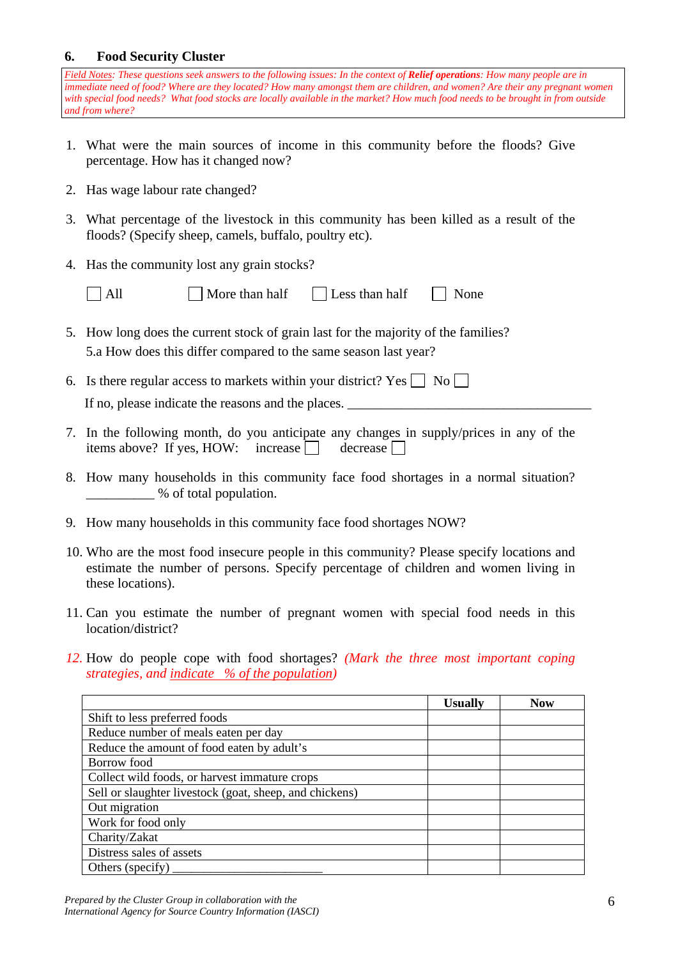## **6. Food Security Cluster**

*Field Notes: These questions seek answers to the following issues: In the context of Relief operations: How many people are in immediate need of food? Where are they located? How many amongst them are children, and women? Are their any pregnant women with special food needs? What food stocks are locally available in the market? How much food needs to be brought in from outside and from where?* 

- 1. What were the main sources of income in this community before the floods? Give percentage. How has it changed now?
- 2. Has wage labour rate changed?
- 3. What percentage of the livestock in this community has been killed as a result of the floods? (Specify sheep, camels, buffalo, poultry etc).
- 4. Has the community lost any grain stocks?
	-

 $\Box$  All  $\Box$  More than half  $\Box$  Less than half  $\Box$  None

- 
- 5. How long does the current stock of grain last for the majority of the families? 5.a How does this differ compared to the same season last year?
- 6. Is there regular access to markets within your district? Yes  $\Box$  No  $\Box$ If no, please indicate the reasons and the places.
- 7. In the following month, do you anticipate any changes in supply/prices in any of the items above? If yes, HOW: increase  $\Box$  decrease  $\Box$
- 8. How many households in this community face food shortages in a normal situation? \_\_\_\_\_\_\_\_\_\_ % of total population.
- 9. How many households in this community face food shortages NOW?
- 10. Who are the most food insecure people in this community? Please specify locations and estimate the number of persons. Specify percentage of children and women living in these locations).
- 11. Can you estimate the number of pregnant women with special food needs in this location/district?
- *12.* How do people cope with food shortages? *(Mark the three most important coping strategies, and indicate % of the population)*

|                                                         | <b>Usually</b> | <b>Now</b> |
|---------------------------------------------------------|----------------|------------|
| Shift to less preferred foods                           |                |            |
| Reduce number of meals eaten per day                    |                |            |
| Reduce the amount of food eaten by adult's              |                |            |
| Borrow food                                             |                |            |
| Collect wild foods, or harvest immature crops           |                |            |
| Sell or slaughter livestock (goat, sheep, and chickens) |                |            |
| Out migration                                           |                |            |
| Work for food only                                      |                |            |
| Charity/Zakat                                           |                |            |
| Distress sales of assets                                |                |            |
| Others (specify)                                        |                |            |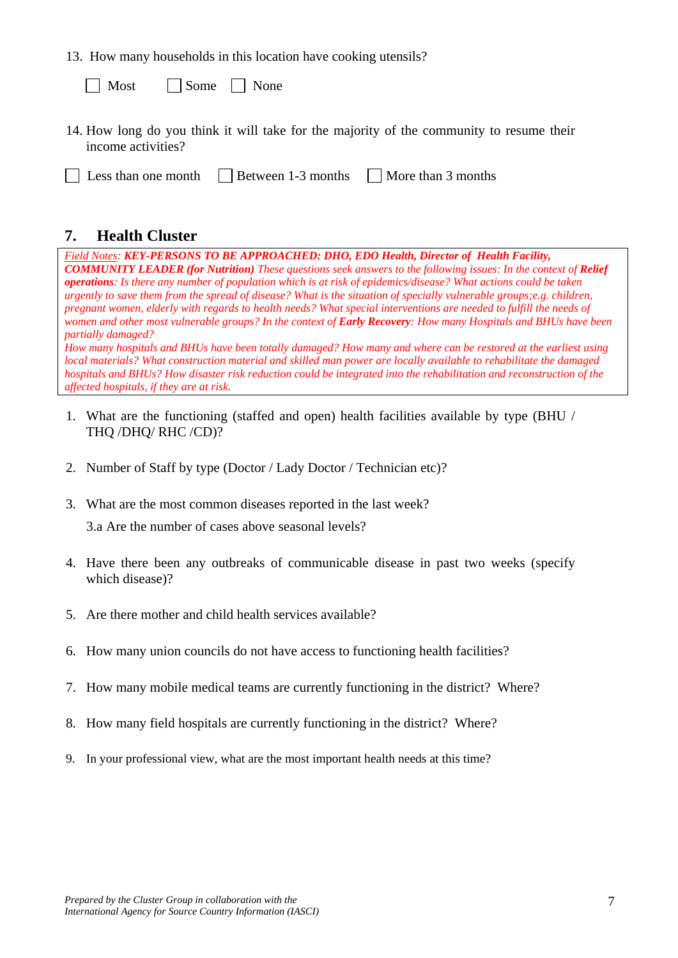13. How many households in this location have cooking utensils?

| $\Box$ Most | $\vert$ Some | $\vert$ None |
|-------------|--------------|--------------|
|-------------|--------------|--------------|

- 14. How long do you think it will take for the majority of the community to resume their income activities?
- $\Box$  Less than one month  $\Box$  Between 1-3 months  $\Box$  More than 3 months

# **7. Health Cluster**

*Field Notes: KEY-PERSONS TO BE APPROACHED: DHO, EDO Health, Director of Health Facility, COMMUNITY LEADER (for Nutrition) These questions seek answers to the following issues: In the context of Relief operations: Is there any number of population which is at risk of epidemics/disease? What actions could be taken urgently to save them from the spread of disease? What is the situation of specially vulnerable groups;e.g. children, pregnant women, elderly with regards to health needs? What special interventions are needed to fulfill the needs of women and other most vulnerable groups? In the context of Early Recovery: How many Hospitals and BHUs have been partially damaged?* 

*How many hospitals and BHUs have been totally damaged? How many and where can be restored at the earliest using local materials? What construction material and skilled man power are locally available to rehabilitate the damaged hospitals and BHUs? How disaster risk reduction could be integrated into the rehabilitation and reconstruction of the affected hospitals, if they are at risk.* 

- 1. What are the functioning (staffed and open) health facilities available by type (BHU / THQ /DHQ/ RHC /CD)?
- 2. Number of Staff by type (Doctor / Lady Doctor / Technician etc)?
- 3. What are the most common diseases reported in the last week?

3.a Are the number of cases above seasonal levels?

- 4. Have there been any outbreaks of communicable disease in past two weeks (specify which disease)?
- 5. Are there mother and child health services available?
- 6. How many union councils do not have access to functioning health facilities?
- 7. How many mobile medical teams are currently functioning in the district? Where?
- 8. How many field hospitals are currently functioning in the district? Where?
- 9. In your professional view, what are the most important health needs at this time?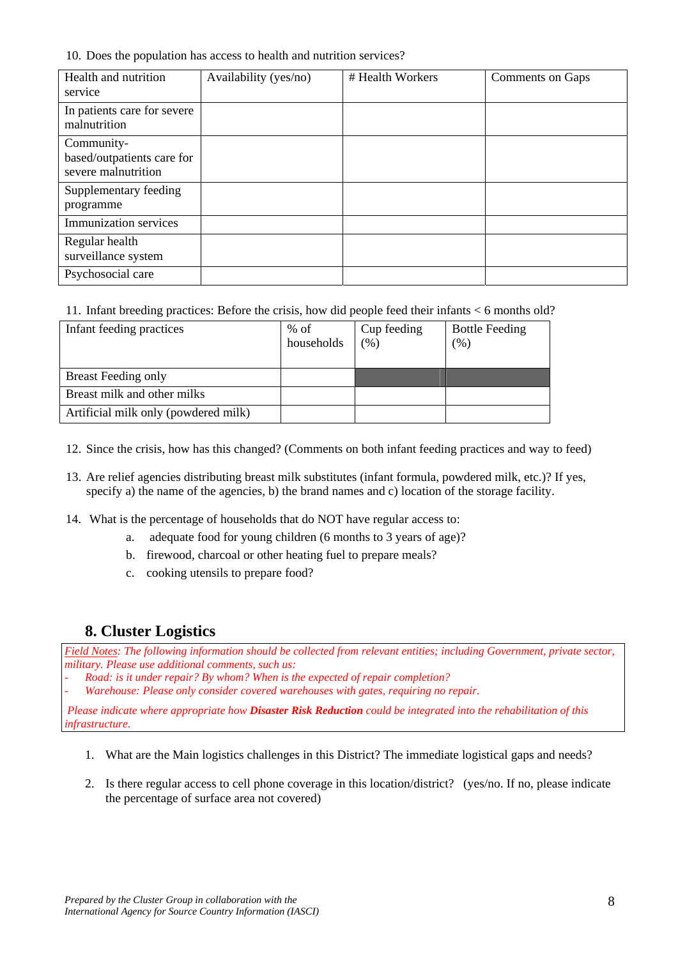#### 10. Does the population has access to health and nutrition services?

| Health and nutrition<br>service                                 | Availability (yes/no) | # Health Workers | Comments on Gaps |
|-----------------------------------------------------------------|-----------------------|------------------|------------------|
| In patients care for severe<br>malnutrition                     |                       |                  |                  |
| Community-<br>based/outpatients care for<br>severe malnutrition |                       |                  |                  |
| Supplementary feeding<br>programme                              |                       |                  |                  |
| Immunization services                                           |                       |                  |                  |
| Regular health<br>surveillance system                           |                       |                  |                  |
| Psychosocial care                                               |                       |                  |                  |

#### 11. Infant breeding practices: Before the crisis, how did people feed their infants < 6 months old?

| Infant feeding practices             | $%$ of     | Cup feeding | <b>Bottle Feeding</b>                   |
|--------------------------------------|------------|-------------|-----------------------------------------|
|                                      | households | $(\% )$     | $\gamma$ <sup><math>\gamma</math></sup> |
|                                      |            |             |                                         |
| <b>Breast Feeding only</b>           |            |             |                                         |
| Breast milk and other milks          |            |             |                                         |
| Artificial milk only (powdered milk) |            |             |                                         |

12. Since the crisis, how has this changed? (Comments on both infant feeding practices and way to feed)

- 13. Are relief agencies distributing breast milk substitutes (infant formula, powdered milk, etc.)? If yes, specify a) the name of the agencies, b) the brand names and c) location of the storage facility.
- 14. What is the percentage of households that do NOT have regular access to:
	- a. adequate food for young children (6 months to 3 years of age)?
	- b. firewood, charcoal or other heating fuel to prepare meals?
	- c. cooking utensils to prepare food?

# **8. Cluster Logistics**

*Field Notes: The following information should be collected from relevant entities; including Government, private sector, military. Please use additional comments, such us:* 

- *Road: is it under repair? By whom? When is the expected of repair completion?* 

- *Warehouse: Please only consider covered warehouses with gates, requiring no repair.* 

 *Please indicate where appropriate how Disaster Risk Reduction could be integrated into the rehabilitation of this infrastructure.* 

- 1. What are the Main logistics challenges in this District? The immediate logistical gaps and needs?
- 2. Is there regular access to cell phone coverage in this location/district? (yes/no. If no, please indicate the percentage of surface area not covered)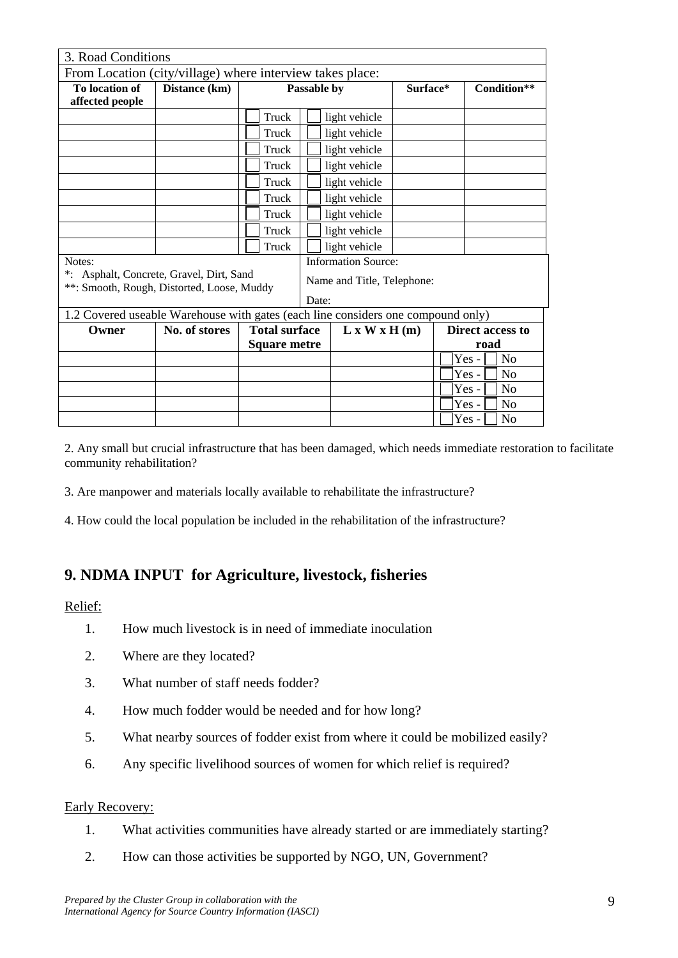| 3. Road Conditions                                                               |               |                            |                            |               |          |  |                         |
|----------------------------------------------------------------------------------|---------------|----------------------------|----------------------------|---------------|----------|--|-------------------------|
| From Location (city/village) where interview takes place:                        |               |                            |                            |               |          |  |                         |
| To location of<br>affected people                                                | Distance (km) | Passable by                |                            |               | Surface* |  | Condition**             |
|                                                                                  |               | Truck                      |                            | light vehicle |          |  |                         |
|                                                                                  |               | Truck                      |                            | light vehicle |          |  |                         |
|                                                                                  |               | Truck                      |                            | light vehicle |          |  |                         |
|                                                                                  |               | Truck                      |                            | light vehicle |          |  |                         |
|                                                                                  |               | Truck                      |                            | light vehicle |          |  |                         |
|                                                                                  |               | Truck                      |                            | light vehicle |          |  |                         |
|                                                                                  |               | Truck                      |                            | light vehicle |          |  |                         |
|                                                                                  |               | Truck                      |                            | light vehicle |          |  |                         |
|                                                                                  |               | Truck                      |                            | light vehicle |          |  |                         |
| Notes:<br>*: Asphalt, Concrete, Gravel, Dirt, Sand                               |               |                            | <b>Information Source:</b> |               |          |  |                         |
| **: Smooth, Rough, Distorted, Loose, Muddy                                       |               | Name and Title, Telephone: |                            |               |          |  |                         |
| Date:                                                                            |               |                            |                            |               |          |  |                         |
| 1.2 Covered useable Warehouse with gates (each line considers one compound only) |               |                            |                            |               |          |  |                         |
| Owner                                                                            | No. of stores | <b>Total surface</b>       |                            | L x W x H (m) |          |  | <b>Direct access to</b> |
|                                                                                  |               | <b>Square metre</b>        |                            |               | road     |  |                         |
|                                                                                  |               |                            |                            |               |          |  | Yes-<br>N <sub>o</sub>  |
|                                                                                  |               |                            |                            |               |          |  | Yes-<br>N <sub>o</sub>  |
|                                                                                  |               |                            |                            |               |          |  | Yes-<br>N <sub>0</sub>  |
|                                                                                  |               |                            |                            |               |          |  | Yes-<br>N <sub>0</sub>  |
|                                                                                  |               |                            |                            |               |          |  | Yes-<br>No              |

2. Any small but crucial infrastructure that has been damaged, which needs immediate restoration to facilitate community rehabilitation?

3. Are manpower and materials locally available to rehabilitate the infrastructure?

4. How could the local population be included in the rehabilitation of the infrastructure?

# **9. NDMA INPUT for Agriculture, livestock, fisheries**

### Relief:

- 1. How much livestock is in need of immediate inoculation
- 2. Where are they located?
- 3. What number of staff needs fodder?
- 4. How much fodder would be needed and for how long?
- 5. What nearby sources of fodder exist from where it could be mobilized easily?
- 6. Any specific livelihood sources of women for which relief is required?

#### Early Recovery:

- 1. What activities communities have already started or are immediately starting?
- 2. How can those activities be supported by NGO, UN, Government?